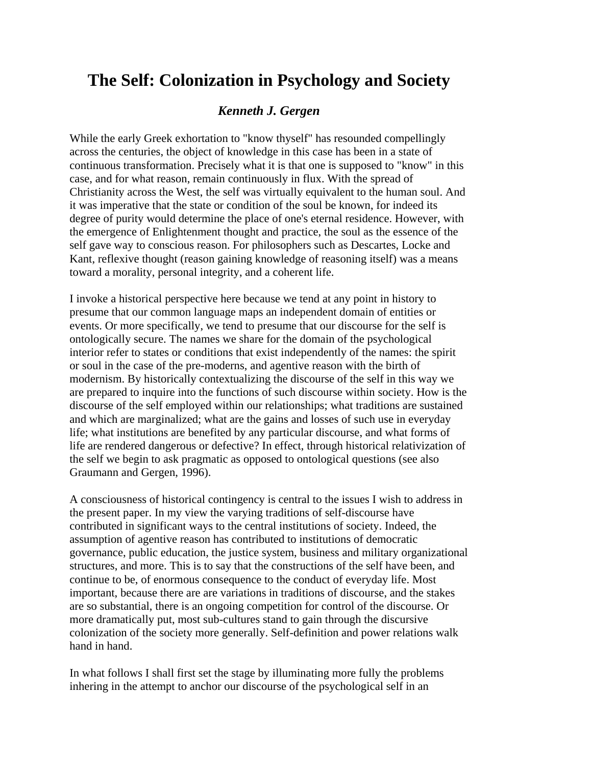# **The Self: Colonization in Psychology and Society**

# *Kenneth J. Gergen*

While the early Greek exhortation to "know thyself" has resounded compellingly across the centuries, the object of knowledge in this case has been in a state of continuous transformation. Precisely what it is that one is supposed to "know" in this case, and for what reason, remain continuously in flux. With the spread of Christianity across the West, the self was virtually equivalent to the human soul. And it was imperative that the state or condition of the soul be known, for indeed its degree of purity would determine the place of one's eternal residence. However, with the emergence of Enlightenment thought and practice, the soul as the essence of the self gave way to conscious reason. For philosophers such as Descartes, Locke and Kant, reflexive thought (reason gaining knowledge of reasoning itself) was a means toward a morality, personal integrity, and a coherent life.

I invoke a historical perspective here because we tend at any point in history to presume that our common language maps an independent domain of entities or events. Or more specifically, we tend to presume that our discourse for the self is ontologically secure. The names we share for the domain of the psychological interior refer to states or conditions that exist independently of the names: the spirit or soul in the case of the pre-moderns, and agentive reason with the birth of modernism. By historically contextualizing the discourse of the self in this way we are prepared to inquire into the functions of such discourse within society. How is the discourse of the self employed within our relationships; what traditions are sustained and which are marginalized; what are the gains and losses of such use in everyday life; what institutions are benefited by any particular discourse, and what forms of life are rendered dangerous or defective? In effect, through historical relativization of the self we begin to ask pragmatic as opposed to ontological questions (see also Graumann and Gergen, 1996).

A consciousness of historical contingency is central to the issues I wish to address in the present paper. In my view the varying traditions of self-discourse have contributed in significant ways to the central institutions of society. Indeed, the assumption of agentive reason has contributed to institutions of democratic governance, public education, the justice system, business and military organizational structures, and more. This is to say that the constructions of the self have been, and continue to be, of enormous consequence to the conduct of everyday life. Most important, because there are are variations in traditions of discourse, and the stakes are so substantial, there is an ongoing competition for control of the discourse. Or more dramatically put, most sub-cultures stand to gain through the discursive colonization of the society more generally. Self-definition and power relations walk hand in hand.

In what follows I shall first set the stage by illuminating more fully the problems inhering in the attempt to anchor our discourse of the psychological self in an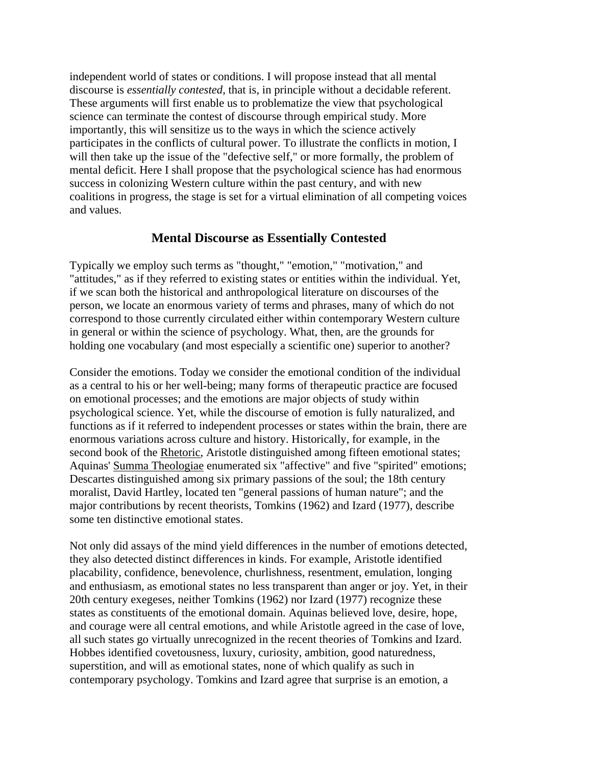independent world of states or conditions. I will propose instead that all mental discourse is *essentially contested*, that is, in principle without a decidable referent. These arguments will first enable us to problematize the view that psychological science can terminate the contest of discourse through empirical study. More importantly, this will sensitize us to the ways in which the science actively participates in the conflicts of cultural power. To illustrate the conflicts in motion, I will then take up the issue of the "defective self," or more formally, the problem of mental deficit. Here I shall propose that the psychological science has had enormous success in colonizing Western culture within the past century, and with new coalitions in progress, the stage is set for a virtual elimination of all competing voices and values.

## **Mental Discourse as Essentially Contested**

Typically we employ such terms as "thought," "emotion," "motivation," and "attitudes," as if they referred to existing states or entities within the individual. Yet, if we scan both the historical and anthropological literature on discourses of the person, we locate an enormous variety of terms and phrases, many of which do not correspond to those currently circulated either within contemporary Western culture in general or within the science of psychology. What, then, are the grounds for holding one vocabulary (and most especially a scientific one) superior to another?

Consider the emotions. Today we consider the emotional condition of the individual as a central to his or her well-being; many forms of therapeutic practice are focused on emotional processes; and the emotions are major objects of study within psychological science. Yet, while the discourse of emotion is fully naturalized, and functions as if it referred to independent processes or states within the brain, there are enormous variations across culture and history. Historically, for example, in the second book of the Rhetoric, Aristotle distinguished among fifteen emotional states; Aquinas' Summa Theologiae enumerated six "affective" and five "spirited" emotions; Descartes distinguished among six primary passions of the soul; the 18th century moralist, David Hartley, located ten "general passions of human nature"; and the major contributions by recent theorists, Tomkins (1962) and Izard (1977), describe some ten distinctive emotional states.

Not only did assays of the mind yield differences in the number of emotions detected, they also detected distinct differences in kinds. For example, Aristotle identified placability, confidence, benevolence, churlishness, resentment, emulation, longing and enthusiasm, as emotional states no less transparent than anger or joy. Yet, in their 20th century exegeses, neither Tomkins (1962) nor Izard (1977) recognize these states as constituents of the emotional domain. Aquinas believed love, desire, hope, and courage were all central emotions, and while Aristotle agreed in the case of love, all such states go virtually unrecognized in the recent theories of Tomkins and Izard. Hobbes identified covetousness, luxury, curiosity, ambition, good naturedness, superstition, and will as emotional states, none of which qualify as such in contemporary psychology. Tomkins and Izard agree that surprise is an emotion, a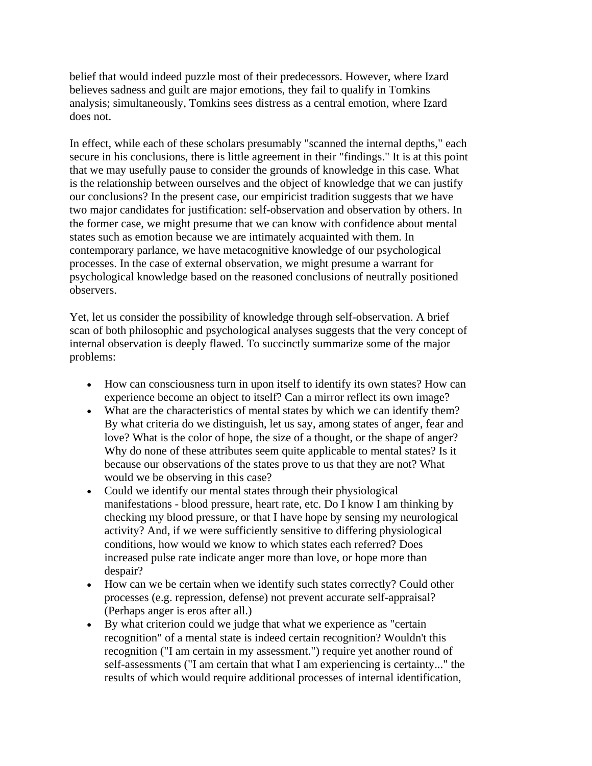belief that would indeed puzzle most of their predecessors. However, where Izard believes sadness and guilt are major emotions, they fail to qualify in Tomkins analysis; simultaneously, Tomkins sees distress as a central emotion, where Izard does not.

In effect, while each of these scholars presumably "scanned the internal depths," each secure in his conclusions, there is little agreement in their "findings." It is at this point that we may usefully pause to consider the grounds of knowledge in this case. What is the relationship between ourselves and the object of knowledge that we can justify our conclusions? In the present case, our empiricist tradition suggests that we have two major candidates for justification: self-observation and observation by others. In the former case, we might presume that we can know with confidence about mental states such as emotion because we are intimately acquainted with them. In contemporary parlance, we have metacognitive knowledge of our psychological processes. In the case of external observation, we might presume a warrant for psychological knowledge based on the reasoned conclusions of neutrally positioned observers.

Yet, let us consider the possibility of knowledge through self-observation. A brief scan of both philosophic and psychological analyses suggests that the very concept of internal observation is deeply flawed. To succinctly summarize some of the major problems:

- How can consciousness turn in upon itself to identify its own states? How can experience become an object to itself? Can a mirror reflect its own image?
- What are the characteristics of mental states by which we can identify them? By what criteria do we distinguish, let us say, among states of anger, fear and love? What is the color of hope, the size of a thought, or the shape of anger? Why do none of these attributes seem quite applicable to mental states? Is it because our observations of the states prove to us that they are not? What would we be observing in this case?
- Could we identify our mental states through their physiological manifestations - blood pressure, heart rate, etc. Do I know I am thinking by checking my blood pressure, or that I have hope by sensing my neurological activity? And, if we were sufficiently sensitive to differing physiological conditions, how would we know to which states each referred? Does increased pulse rate indicate anger more than love, or hope more than despair?
- How can we be certain when we identify such states correctly? Could other processes (e.g. repression, defense) not prevent accurate self-appraisal? (Perhaps anger is eros after all.)
- By what criterion could we judge that what we experience as "certain recognition" of a mental state is indeed certain recognition? Wouldn't this recognition ("I am certain in my assessment.") require yet another round of self-assessments ("I am certain that what I am experiencing is certainty..." the results of which would require additional processes of internal identification,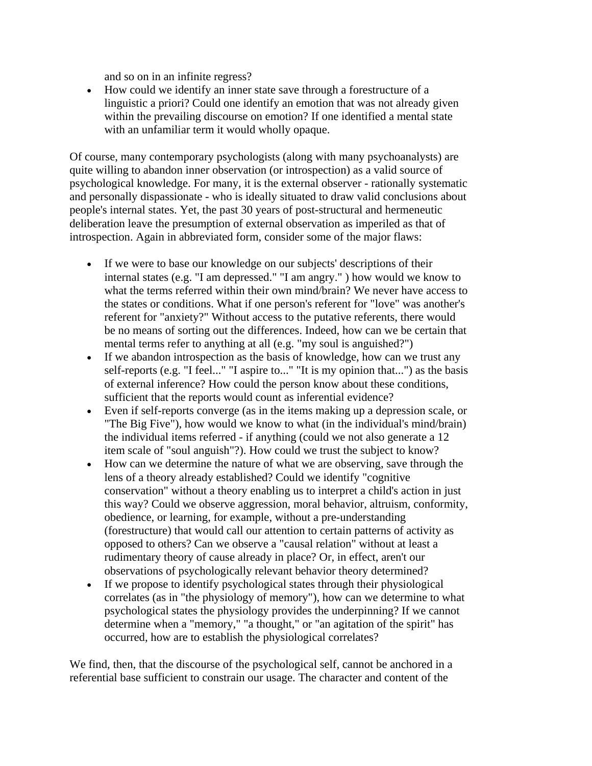and so on in an infinite regress?

• How could we identify an inner state save through a forestructure of a linguistic a priori? Could one identify an emotion that was not already given within the prevailing discourse on emotion? If one identified a mental state with an unfamiliar term it would wholly opaque.

Of course, many contemporary psychologists (along with many psychoanalysts) are quite willing to abandon inner observation (or introspection) as a valid source of psychological knowledge. For many, it is the external observer - rationally systematic and personally dispassionate - who is ideally situated to draw valid conclusions about people's internal states. Yet, the past 30 years of post-structural and hermeneutic deliberation leave the presumption of external observation as imperiled as that of introspection. Again in abbreviated form, consider some of the major flaws:

- If we were to base our knowledge on our subjects' descriptions of their internal states (e.g. "I am depressed." "I am angry." ) how would we know to what the terms referred within their own mind/brain? We never have access to the states or conditions. What if one person's referent for "love" was another's referent for "anxiety?" Without access to the putative referents, there would be no means of sorting out the differences. Indeed, how can we be certain that mental terms refer to anything at all (e.g. "my soul is anguished?")
- If we abandon introspection as the basis of knowledge, how can we trust any self-reports (e.g. "I feel..." "I aspire to..." "It is my opinion that...") as the basis of external inference? How could the person know about these conditions, sufficient that the reports would count as inferential evidence?
- Even if self-reports converge (as in the items making up a depression scale, or "The Big Five"), how would we know to what (in the individual's mind/brain) the individual items referred - if anything (could we not also generate a 12 item scale of "soul anguish"?). How could we trust the subject to know?
- How can we determine the nature of what we are observing, save through the lens of a theory already established? Could we identify "cognitive conservation" without a theory enabling us to interpret a child's action in just this way? Could we observe aggression, moral behavior, altruism, conformity, obedience, or learning, for example, without a pre-understanding (forestructure) that would call our attention to certain patterns of activity as opposed to others? Can we observe a "causal relation" without at least a rudimentary theory of cause already in place? Or, in effect, aren't our observations of psychologically relevant behavior theory determined?
- If we propose to identify psychological states through their physiological correlates (as in "the physiology of memory"), how can we determine to what psychological states the physiology provides the underpinning? If we cannot determine when a "memory," "a thought," or "an agitation of the spirit" has occurred, how are to establish the physiological correlates?

We find, then, that the discourse of the psychological self, cannot be anchored in a referential base sufficient to constrain our usage. The character and content of the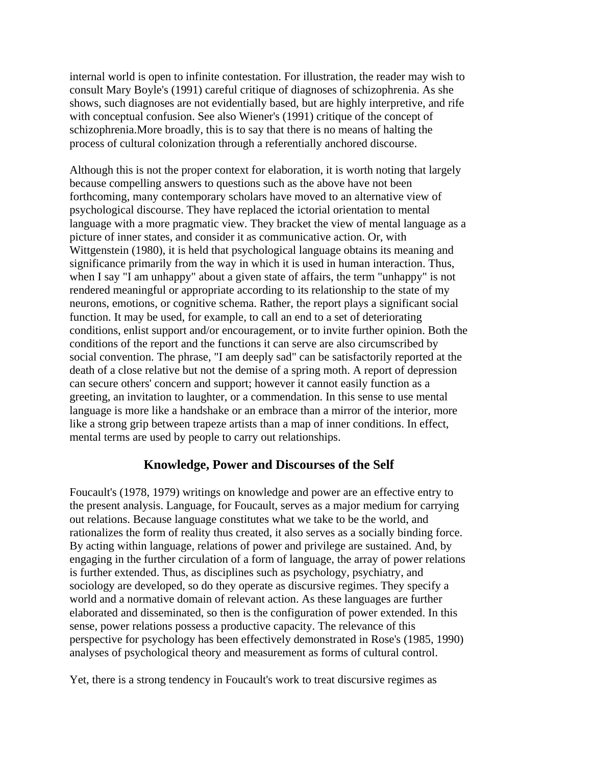internal world is open to infinite contestation. For illustration, the reader may wish to consult Mary Boyle's (1991) careful critique of diagnoses of schizophrenia. As she shows, such diagnoses are not evidentially based, but are highly interpretive, and rife with conceptual confusion. See also Wiener's (1991) critique of the concept of schizophrenia.More broadly, this is to say that there is no means of halting the process of cultural colonization through a referentially anchored discourse.

Although this is not the proper context for elaboration, it is worth noting that largely because compelling answers to questions such as the above have not been forthcoming, many contemporary scholars have moved to an alternative view of psychological discourse. They have replaced the ictorial orientation to mental language with a more pragmatic view. They bracket the view of mental language as a picture of inner states, and consider it as communicative action. Or, with Wittgenstein (1980), it is held that psychological language obtains its meaning and significance primarily from the way in which it is used in human interaction. Thus, when I say "I am unhappy" about a given state of affairs, the term "unhappy" is not rendered meaningful or appropriate according to its relationship to the state of my neurons, emotions, or cognitive schema. Rather, the report plays a significant social function. It may be used, for example, to call an end to a set of deteriorating conditions, enlist support and/or encouragement, or to invite further opinion. Both the conditions of the report and the functions it can serve are also circumscribed by social convention. The phrase, "I am deeply sad" can be satisfactorily reported at the death of a close relative but not the demise of a spring moth. A report of depression can secure others' concern and support; however it cannot easily function as a greeting, an invitation to laughter, or a commendation. In this sense to use mental language is more like a handshake or an embrace than a mirror of the interior, more like a strong grip between trapeze artists than a map of inner conditions. In effect, mental terms are used by people to carry out relationships.

## **Knowledge, Power and Discourses of the Self**

Foucault's (1978, 1979) writings on knowledge and power are an effective entry to the present analysis. Language, for Foucault, serves as a major medium for carrying out relations. Because language constitutes what we take to be the world, and rationalizes the form of reality thus created, it also serves as a socially binding force. By acting within language, relations of power and privilege are sustained. And, by engaging in the further circulation of a form of language, the array of power relations is further extended. Thus, as disciplines such as psychology, psychiatry, and sociology are developed, so do they operate as discursive regimes. They specify a world and a normative domain of relevant action. As these languages are further elaborated and disseminated, so then is the configuration of power extended. In this sense, power relations possess a productive capacity. The relevance of this perspective for psychology has been effectively demonstrated in Rose's (1985, 1990) analyses of psychological theory and measurement as forms of cultural control.

Yet, there is a strong tendency in Foucault's work to treat discursive regimes as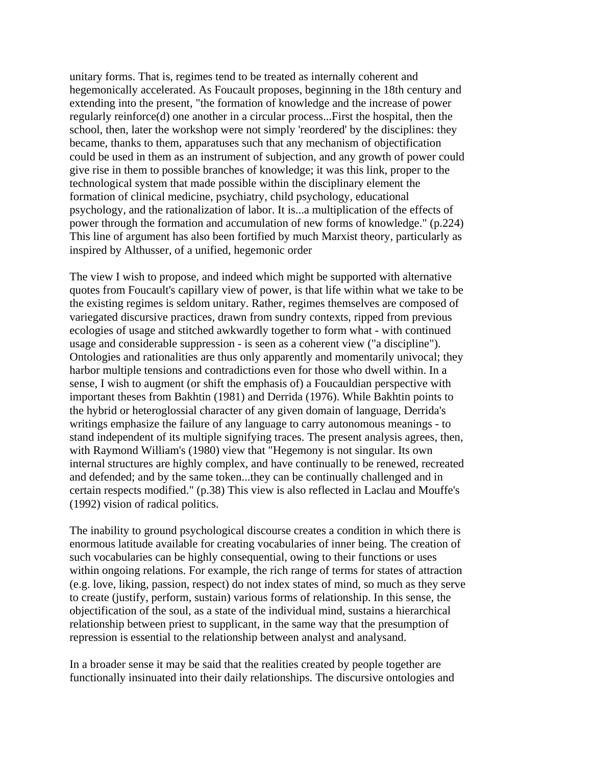unitary forms. That is, regimes tend to be treated as internally coherent and hegemonically accelerated. As Foucault proposes, beginning in the 18th century and extending into the present, "the formation of knowledge and the increase of power regularly reinforce(d) one another in a circular process...First the hospital, then the school, then, later the workshop were not simply 'reordered' by the disciplines: they became, thanks to them, apparatuses such that any mechanism of objectification could be used in them as an instrument of subjection, and any growth of power could give rise in them to possible branches of knowledge; it was this link, proper to the technological system that made possible within the disciplinary element the formation of clinical medicine, psychiatry, child psychology, educational psychology, and the rationalization of labor. It is...a multiplication of the effects of power through the formation and accumulation of new forms of knowledge." (p.224) This line of argument has also been fortified by much Marxist theory, particularly as inspired by Althusser, of a unified, hegemonic order

The view I wish to propose, and indeed which might be supported with alternative quotes from Foucault's capillary view of power, is that life within what we take to be the existing regimes is seldom unitary. Rather, regimes themselves are composed of variegated discursive practices, drawn from sundry contexts, ripped from previous ecologies of usage and stitched awkwardly together to form what - with continued usage and considerable suppression - is seen as a coherent view ("a discipline"). Ontologies and rationalities are thus only apparently and momentarily univocal; they harbor multiple tensions and contradictions even for those who dwell within. In a sense, I wish to augment (or shift the emphasis of) a Foucauldian perspective with important theses from Bakhtin (1981) and Derrida (1976). While Bakhtin points to the hybrid or heteroglossial character of any given domain of language, Derrida's writings emphasize the failure of any language to carry autonomous meanings - to stand independent of its multiple signifying traces. The present analysis agrees, then, with Raymond William's (1980) view that "Hegemony is not singular. Its own internal structures are highly complex, and have continually to be renewed, recreated and defended; and by the same token...they can be continually challenged and in certain respects modified." (p.38) This view is also reflected in Laclau and Mouffe's (1992) vision of radical politics.

The inability to ground psychological discourse creates a condition in which there is enormous latitude available for creating vocabularies of inner being. The creation of such vocabularies can be highly consequential, owing to their functions or uses within ongoing relations. For example, the rich range of terms for states of attraction (e.g. love, liking, passion, respect) do not index states of mind, so much as they serve to create (justify, perform, sustain) various forms of relationship. In this sense, the objectification of the soul, as a state of the individual mind, sustains a hierarchical relationship between priest to supplicant, in the same way that the presumption of repression is essential to the relationship between analyst and analysand.

In a broader sense it may be said that the realities created by people together are functionally insinuated into their daily relationships. The discursive ontologies and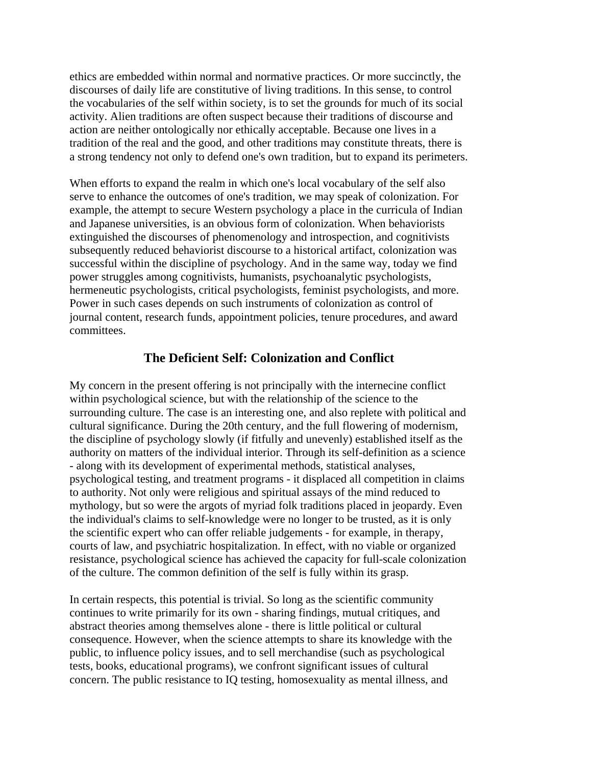ethics are embedded within normal and normative practices. Or more succinctly, the discourses of daily life are constitutive of living traditions. In this sense, to control the vocabularies of the self within society, is to set the grounds for much of its social activity. Alien traditions are often suspect because their traditions of discourse and action are neither ontologically nor ethically acceptable. Because one lives in a tradition of the real and the good, and other traditions may constitute threats, there is a strong tendency not only to defend one's own tradition, but to expand its perimeters.

When efforts to expand the realm in which one's local vocabulary of the self also serve to enhance the outcomes of one's tradition, we may speak of colonization. For example, the attempt to secure Western psychology a place in the curricula of Indian and Japanese universities, is an obvious form of colonization. When behaviorists extinguished the discourses of phenomenology and introspection, and cognitivists subsequently reduced behaviorist discourse to a historical artifact, colonization was successful within the discipline of psychology. And in the same way, today we find power struggles among cognitivists, humanists, psychoanalytic psychologists, hermeneutic psychologists, critical psychologists, feminist psychologists, and more. Power in such cases depends on such instruments of colonization as control of journal content, research funds, appointment policies, tenure procedures, and award committees.

# **The Deficient Self: Colonization and Conflict**

My concern in the present offering is not principally with the internecine conflict within psychological science, but with the relationship of the science to the surrounding culture. The case is an interesting one, and also replete with political and cultural significance. During the 20th century, and the full flowering of modernism, the discipline of psychology slowly (if fitfully and unevenly) established itself as the authority on matters of the individual interior. Through its self-definition as a science - along with its development of experimental methods, statistical analyses, psychological testing, and treatment programs - it displaced all competition in claims to authority. Not only were religious and spiritual assays of the mind reduced to mythology, but so were the argots of myriad folk traditions placed in jeopardy. Even the individual's claims to self-knowledge were no longer to be trusted, as it is only the scientific expert who can offer reliable judgements - for example, in therapy, courts of law, and psychiatric hospitalization. In effect, with no viable or organized resistance, psychological science has achieved the capacity for full-scale colonization of the culture. The common definition of the self is fully within its grasp.

In certain respects, this potential is trivial. So long as the scientific community continues to write primarily for its own - sharing findings, mutual critiques, and abstract theories among themselves alone - there is little political or cultural consequence. However, when the science attempts to share its knowledge with the public, to influence policy issues, and to sell merchandise (such as psychological tests, books, educational programs), we confront significant issues of cultural concern. The public resistance to IQ testing, homosexuality as mental illness, and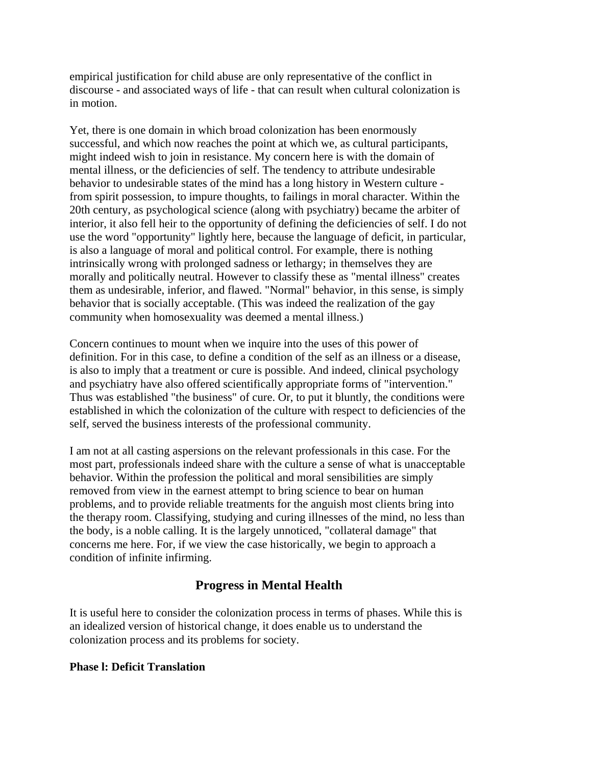empirical justification for child abuse are only representative of the conflict in discourse - and associated ways of life - that can result when cultural colonization is in motion.

Yet, there is one domain in which broad colonization has been enormously successful, and which now reaches the point at which we, as cultural participants, might indeed wish to join in resistance. My concern here is with the domain of mental illness, or the deficiencies of self. The tendency to attribute undesirable behavior to undesirable states of the mind has a long history in Western culture from spirit possession, to impure thoughts, to failings in moral character. Within the 20th century, as psychological science (along with psychiatry) became the arbiter of interior, it also fell heir to the opportunity of defining the deficiencies of self. I do not use the word "opportunity" lightly here, because the language of deficit, in particular, is also a language of moral and political control. For example, there is nothing intrinsically wrong with prolonged sadness or lethargy; in themselves they are morally and politically neutral. However to classify these as "mental illness" creates them as undesirable, inferior, and flawed. "Normal" behavior, in this sense, is simply behavior that is socially acceptable. (This was indeed the realization of the gay community when homosexuality was deemed a mental illness.)

Concern continues to mount when we inquire into the uses of this power of definition. For in this case, to define a condition of the self as an illness or a disease, is also to imply that a treatment or cure is possible. And indeed, clinical psychology and psychiatry have also offered scientifically appropriate forms of "intervention." Thus was established "the business" of cure. Or, to put it bluntly, the conditions were established in which the colonization of the culture with respect to deficiencies of the self, served the business interests of the professional community.

I am not at all casting aspersions on the relevant professionals in this case. For the most part, professionals indeed share with the culture a sense of what is unacceptable behavior. Within the profession the political and moral sensibilities are simply removed from view in the earnest attempt to bring science to bear on human problems, and to provide reliable treatments for the anguish most clients bring into the therapy room. Classifying, studying and curing illnesses of the mind, no less than the body, is a noble calling. It is the largely unnoticed, "collateral damage" that concerns me here. For, if we view the case historically, we begin to approach a condition of infinite infirming.

# **Progress in Mental Health**

It is useful here to consider the colonization process in terms of phases. While this is an idealized version of historical change, it does enable us to understand the colonization process and its problems for society.

#### **Phase l: Deficit Translation**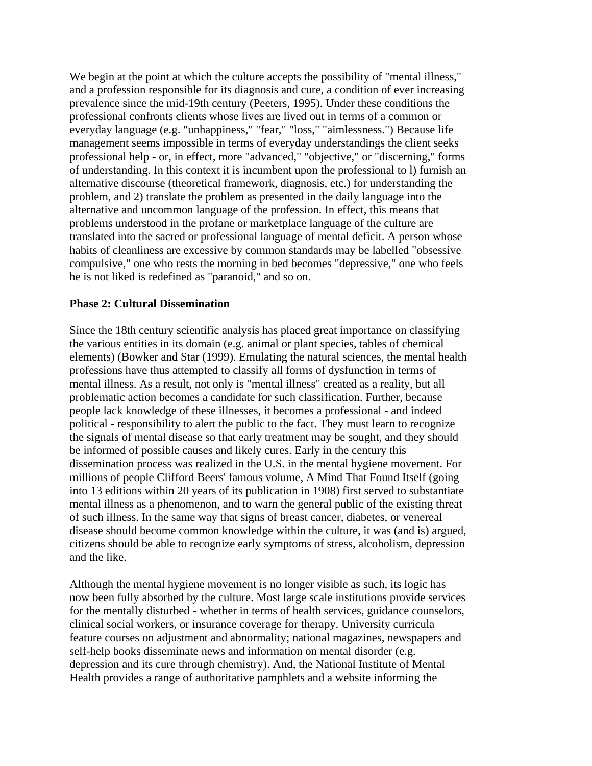We begin at the point at which the culture accepts the possibility of "mental illness," and a profession responsible for its diagnosis and cure, a condition of ever increasing prevalence since the mid-19th century (Peeters, 1995). Under these conditions the professional confronts clients whose lives are lived out in terms of a common or everyday language (e.g. "unhappiness," "fear," "loss," "aimlessness.") Because life management seems impossible in terms of everyday understandings the client seeks professional help - or, in effect, more "advanced," "objective," or "discerning," forms of understanding. In this context it is incumbent upon the professional to l) furnish an alternative discourse (theoretical framework, diagnosis, etc.) for understanding the problem, and 2) translate the problem as presented in the daily language into the alternative and uncommon language of the profession. In effect, this means that problems understood in the profane or marketplace language of the culture are translated into the sacred or professional language of mental deficit. A person whose habits of cleanliness are excessive by common standards may be labelled "obsessive compulsive," one who rests the morning in bed becomes "depressive," one who feels he is not liked is redefined as "paranoid," and so on.

#### **Phase 2: Cultural Dissemination**

Since the 18th century scientific analysis has placed great importance on classifying the various entities in its domain (e.g. animal or plant species, tables of chemical elements) (Bowker and Star (1999). Emulating the natural sciences, the mental health professions have thus attempted to classify all forms of dysfunction in terms of mental illness. As a result, not only is "mental illness" created as a reality, but all problematic action becomes a candidate for such classification. Further, because people lack knowledge of these illnesses, it becomes a professional - and indeed political - responsibility to alert the public to the fact. They must learn to recognize the signals of mental disease so that early treatment may be sought, and they should be informed of possible causes and likely cures. Early in the century this dissemination process was realized in the U.S. in the mental hygiene movement. For millions of people Clifford Beers' famous volume, A Mind That Found Itself (going into 13 editions within 20 years of its publication in 1908) first served to substantiate mental illness as a phenomenon, and to warn the general public of the existing threat of such illness. In the same way that signs of breast cancer, diabetes, or venereal disease should become common knowledge within the culture, it was (and is) argued, citizens should be able to recognize early symptoms of stress, alcoholism, depression and the like.

Although the mental hygiene movement is no longer visible as such, its logic has now been fully absorbed by the culture. Most large scale institutions provide services for the mentally disturbed - whether in terms of health services, guidance counselors, clinical social workers, or insurance coverage for therapy. University curricula feature courses on adjustment and abnormality; national magazines, newspapers and self-help books disseminate news and information on mental disorder (e.g. depression and its cure through chemistry). And, the National Institute of Mental Health provides a range of authoritative pamphlets and a website informing the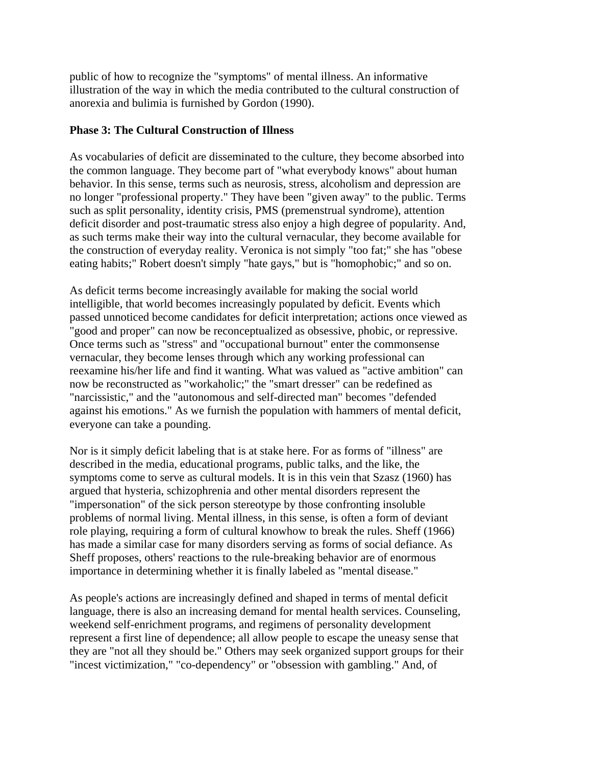public of how to recognize the "symptoms" of mental illness. An informative illustration of the way in which the media contributed to the cultural construction of anorexia and bulimia is furnished by Gordon (1990).

#### **Phase 3: The Cultural Construction of Illness**

As vocabularies of deficit are disseminated to the culture, they become absorbed into the common language. They become part of "what everybody knows" about human behavior. In this sense, terms such as neurosis, stress, alcoholism and depression are no longer "professional property." They have been "given away" to the public. Terms such as split personality, identity crisis, PMS (premenstrual syndrome), attention deficit disorder and post-traumatic stress also enjoy a high degree of popularity. And, as such terms make their way into the cultural vernacular, they become available for the construction of everyday reality. Veronica is not simply "too fat;" she has "obese eating habits;" Robert doesn't simply "hate gays," but is "homophobic;" and so on.

As deficit terms become increasingly available for making the social world intelligible, that world becomes increasingly populated by deficit. Events which passed unnoticed become candidates for deficit interpretation; actions once viewed as "good and proper" can now be reconceptualized as obsessive, phobic, or repressive. Once terms such as "stress" and "occupational burnout" enter the commonsense vernacular, they become lenses through which any working professional can reexamine his/her life and find it wanting. What was valued as "active ambition" can now be reconstructed as "workaholic;" the "smart dresser" can be redefined as "narcissistic," and the "autonomous and self-directed man" becomes "defended against his emotions." As we furnish the population with hammers of mental deficit, everyone can take a pounding.

Nor is it simply deficit labeling that is at stake here. For as forms of "illness" are described in the media, educational programs, public talks, and the like, the symptoms come to serve as cultural models. It is in this vein that Szasz (1960) has argued that hysteria, schizophrenia and other mental disorders represent the "impersonation" of the sick person stereotype by those confronting insoluble problems of normal living. Mental illness, in this sense, is often a form of deviant role playing, requiring a form of cultural knowhow to break the rules. Sheff (1966) has made a similar case for many disorders serving as forms of social defiance. As Sheff proposes, others' reactions to the rule-breaking behavior are of enormous importance in determining whether it is finally labeled as "mental disease."

As people's actions are increasingly defined and shaped in terms of mental deficit language, there is also an increasing demand for mental health services. Counseling, weekend self-enrichment programs, and regimens of personality development represent a first line of dependence; all allow people to escape the uneasy sense that they are "not all they should be." Others may seek organized support groups for their "incest victimization," "co-dependency" or "obsession with gambling." And, of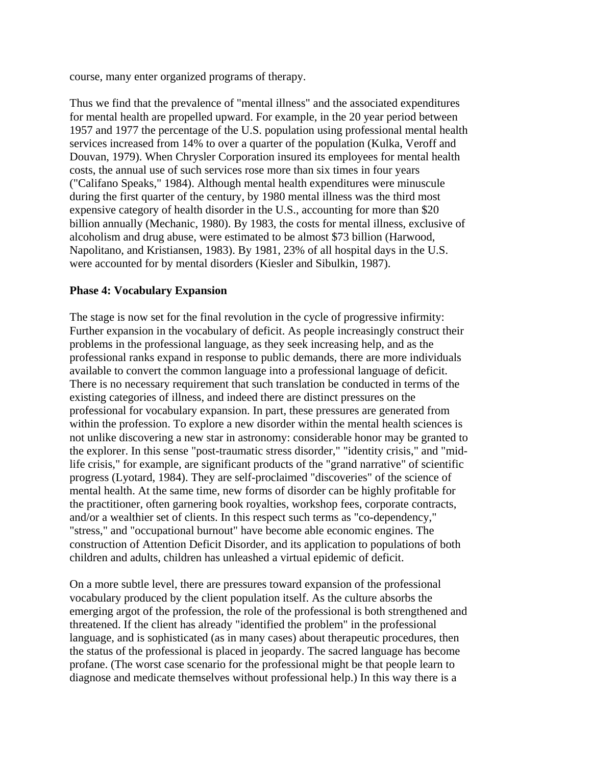course, many enter organized programs of therapy.

Thus we find that the prevalence of "mental illness" and the associated expenditures for mental health are propelled upward. For example, in the 20 year period between 1957 and 1977 the percentage of the U.S. population using professional mental health services increased from 14% to over a quarter of the population (Kulka, Veroff and Douvan, 1979). When Chrysler Corporation insured its employees for mental health costs, the annual use of such services rose more than six times in four years ("Califano Speaks," 1984). Although mental health expenditures were minuscule during the first quarter of the century, by 1980 mental illness was the third most expensive category of health disorder in the U.S., accounting for more than \$20 billion annually (Mechanic, 1980). By 1983, the costs for mental illness, exclusive of alcoholism and drug abuse, were estimated to be almost \$73 billion (Harwood, Napolitano, and Kristiansen, 1983). By 1981, 23% of all hospital days in the U.S. were accounted for by mental disorders (Kiesler and Sibulkin, 1987).

#### **Phase 4: Vocabulary Expansion**

The stage is now set for the final revolution in the cycle of progressive infirmity: Further expansion in the vocabulary of deficit. As people increasingly construct their problems in the professional language, as they seek increasing help, and as the professional ranks expand in response to public demands, there are more individuals available to convert the common language into a professional language of deficit. There is no necessary requirement that such translation be conducted in terms of the existing categories of illness, and indeed there are distinct pressures on the professional for vocabulary expansion. In part, these pressures are generated from within the profession. To explore a new disorder within the mental health sciences is not unlike discovering a new star in astronomy: considerable honor may be granted to the explorer. In this sense "post-traumatic stress disorder," "identity crisis," and "midlife crisis," for example, are significant products of the "grand narrative" of scientific progress (Lyotard, 1984). They are self-proclaimed "discoveries" of the science of mental health. At the same time, new forms of disorder can be highly profitable for the practitioner, often garnering book royalties, workshop fees, corporate contracts, and/or a wealthier set of clients. In this respect such terms as "co-dependency," "stress," and "occupational burnout" have become able economic engines. The construction of Attention Deficit Disorder, and its application to populations of both children and adults, children has unleashed a virtual epidemic of deficit.

On a more subtle level, there are pressures toward expansion of the professional vocabulary produced by the client population itself. As the culture absorbs the emerging argot of the profession, the role of the professional is both strengthened and threatened. If the client has already "identified the problem" in the professional language, and is sophisticated (as in many cases) about therapeutic procedures, then the status of the professional is placed in jeopardy. The sacred language has become profane. (The worst case scenario for the professional might be that people learn to diagnose and medicate themselves without professional help.) In this way there is a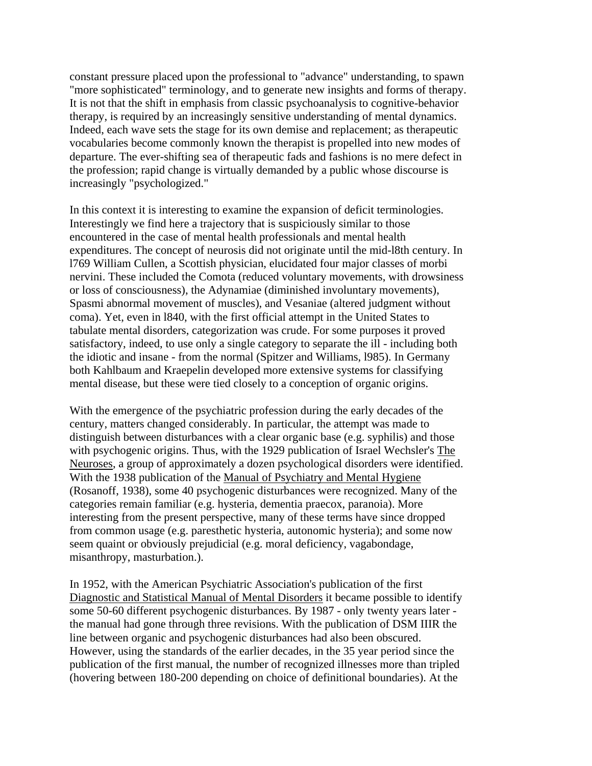constant pressure placed upon the professional to "advance" understanding, to spawn "more sophisticated" terminology, and to generate new insights and forms of therapy. It is not that the shift in emphasis from classic psychoanalysis to cognitive-behavior therapy, is required by an increasingly sensitive understanding of mental dynamics. Indeed, each wave sets the stage for its own demise and replacement; as therapeutic vocabularies become commonly known the therapist is propelled into new modes of departure. The ever-shifting sea of therapeutic fads and fashions is no mere defect in the profession; rapid change is virtually demanded by a public whose discourse is increasingly "psychologized."

In this context it is interesting to examine the expansion of deficit terminologies. Interestingly we find here a trajectory that is suspiciously similar to those encountered in the case of mental health professionals and mental health expenditures. The concept of neurosis did not originate until the mid-l8th century. In l769 William Cullen, a Scottish physician, elucidated four major classes of morbi nervini. These included the Comota (reduced voluntary movements, with drowsiness or loss of consciousness), the Adynamiae (diminished involuntary movements), Spasmi abnormal movement of muscles), and Vesaniae (altered judgment without coma). Yet, even in l840, with the first official attempt in the United States to tabulate mental disorders, categorization was crude. For some purposes it proved satisfactory, indeed, to use only a single category to separate the ill - including both the idiotic and insane - from the normal (Spitzer and Williams, l985). In Germany both Kahlbaum and Kraepelin developed more extensive systems for classifying mental disease, but these were tied closely to a conception of organic origins.

With the emergence of the psychiatric profession during the early decades of the century, matters changed considerably. In particular, the attempt was made to distinguish between disturbances with a clear organic base (e.g. syphilis) and those with psychogenic origins. Thus, with the 1929 publication of Israel Wechsler's The Neuroses, a group of approximately a dozen psychological disorders were identified. With the 1938 publication of the Manual of Psychiatry and Mental Hygiene (Rosanoff, 1938), some 40 psychogenic disturbances were recognized. Many of the categories remain familiar (e.g. hysteria, dementia praecox, paranoia). More interesting from the present perspective, many of these terms have since dropped from common usage (e.g. paresthetic hysteria, autonomic hysteria); and some now seem quaint or obviously prejudicial (e.g. moral deficiency, vagabondage, misanthropy, masturbation.).

In 1952, with the American Psychiatric Association's publication of the first Diagnostic and Statistical Manual of Mental Disorders it became possible to identify some 50-60 different psychogenic disturbances. By 1987 - only twenty years later the manual had gone through three revisions. With the publication of DSM IIIR the line between organic and psychogenic disturbances had also been obscured. However, using the standards of the earlier decades, in the 35 year period since the publication of the first manual, the number of recognized illnesses more than tripled (hovering between 180-200 depending on choice of definitional boundaries). At the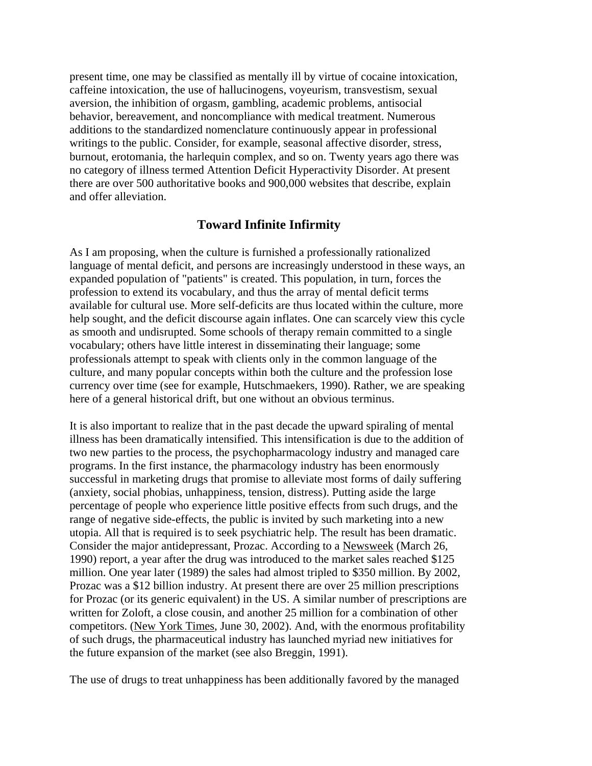present time, one may be classified as mentally ill by virtue of cocaine intoxication, caffeine intoxication, the use of hallucinogens, voyeurism, transvestism, sexual aversion, the inhibition of orgasm, gambling, academic problems, antisocial behavior, bereavement, and noncompliance with medical treatment. Numerous additions to the standardized nomenclature continuously appear in professional writings to the public. Consider, for example, seasonal affective disorder, stress, burnout, erotomania, the harlequin complex, and so on. Twenty years ago there was no category of illness termed Attention Deficit Hyperactivity Disorder. At present there are over 500 authoritative books and 900,000 websites that describe, explain and offer alleviation.

#### **Toward Infinite Infirmity**

As I am proposing, when the culture is furnished a professionally rationalized language of mental deficit, and persons are increasingly understood in these ways, an expanded population of "patients" is created. This population, in turn, forces the profession to extend its vocabulary, and thus the array of mental deficit terms available for cultural use. More self-deficits are thus located within the culture, more help sought, and the deficit discourse again inflates. One can scarcely view this cycle as smooth and undisrupted. Some schools of therapy remain committed to a single vocabulary; others have little interest in disseminating their language; some professionals attempt to speak with clients only in the common language of the culture, and many popular concepts within both the culture and the profession lose currency over time (see for example, Hutschmaekers, 1990). Rather, we are speaking here of a general historical drift, but one without an obvious terminus.

It is also important to realize that in the past decade the upward spiraling of mental illness has been dramatically intensified. This intensification is due to the addition of two new parties to the process, the psychopharmacology industry and managed care programs. In the first instance, the pharmacology industry has been enormously successful in marketing drugs that promise to alleviate most forms of daily suffering (anxiety, social phobias, unhappiness, tension, distress). Putting aside the large percentage of people who experience little positive effects from such drugs, and the range of negative side-effects, the public is invited by such marketing into a new utopia. All that is required is to seek psychiatric help. The result has been dramatic. Consider the major antidepressant, Prozac. According to a Newsweek (March 26, 1990) report, a year after the drug was introduced to the market sales reached \$125 million. One year later (1989) the sales had almost tripled to \$350 million. By 2002, Prozac was a \$12 billion industry. At present there are over 25 million prescriptions for Prozac (or its generic equivalent) in the US. A similar number of prescriptions are written for Zoloft, a close cousin, and another 25 million for a combination of other competitors. (New York Times, June 30, 2002). And, with the enormous profitability of such drugs, the pharmaceutical industry has launched myriad new initiatives for the future expansion of the market (see also Breggin, 1991).

The use of drugs to treat unhappiness has been additionally favored by the managed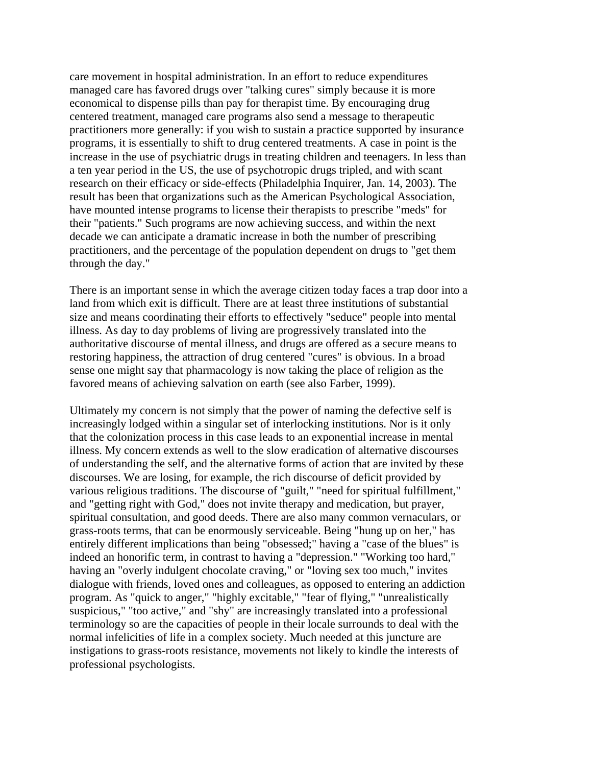care movement in hospital administration. In an effort to reduce expenditures managed care has favored drugs over "talking cures" simply because it is more economical to dispense pills than pay for therapist time. By encouraging drug centered treatment, managed care programs also send a message to therapeutic practitioners more generally: if you wish to sustain a practice supported by insurance programs, it is essentially to shift to drug centered treatments. A case in point is the increase in the use of psychiatric drugs in treating children and teenagers. In less than a ten year period in the US, the use of psychotropic drugs tripled, and with scant research on their efficacy or side-effects (Philadelphia Inquirer, Jan. 14, 2003). The result has been that organizations such as the American Psychological Association, have mounted intense programs to license their therapists to prescribe "meds" for their "patients." Such programs are now achieving success, and within the next decade we can anticipate a dramatic increase in both the number of prescribing practitioners, and the percentage of the population dependent on drugs to "get them through the day."

There is an important sense in which the average citizen today faces a trap door into a land from which exit is difficult. There are at least three institutions of substantial size and means coordinating their efforts to effectively "seduce" people into mental illness. As day to day problems of living are progressively translated into the authoritative discourse of mental illness, and drugs are offered as a secure means to restoring happiness, the attraction of drug centered "cures" is obvious. In a broad sense one might say that pharmacology is now taking the place of religion as the favored means of achieving salvation on earth (see also Farber, 1999).

Ultimately my concern is not simply that the power of naming the defective self is increasingly lodged within a singular set of interlocking institutions. Nor is it only that the colonization process in this case leads to an exponential increase in mental illness. My concern extends as well to the slow eradication of alternative discourses of understanding the self, and the alternative forms of action that are invited by these discourses. We are losing, for example, the rich discourse of deficit provided by various religious traditions. The discourse of "guilt," "need for spiritual fulfillment," and "getting right with God," does not invite therapy and medication, but prayer, spiritual consultation, and good deeds. There are also many common vernaculars, or grass-roots terms, that can be enormously serviceable. Being "hung up on her," has entirely different implications than being "obsessed;" having a "case of the blues" is indeed an honorific term, in contrast to having a "depression." "Working too hard," having an "overly indulgent chocolate craving," or "loving sex too much," invites dialogue with friends, loved ones and colleagues, as opposed to entering an addiction program. As "quick to anger," "highly excitable," "fear of flying," "unrealistically suspicious," "too active," and "shy" are increasingly translated into a professional terminology so are the capacities of people in their locale surrounds to deal with the normal infelicities of life in a complex society. Much needed at this juncture are instigations to grass-roots resistance, movements not likely to kindle the interests of professional psychologists.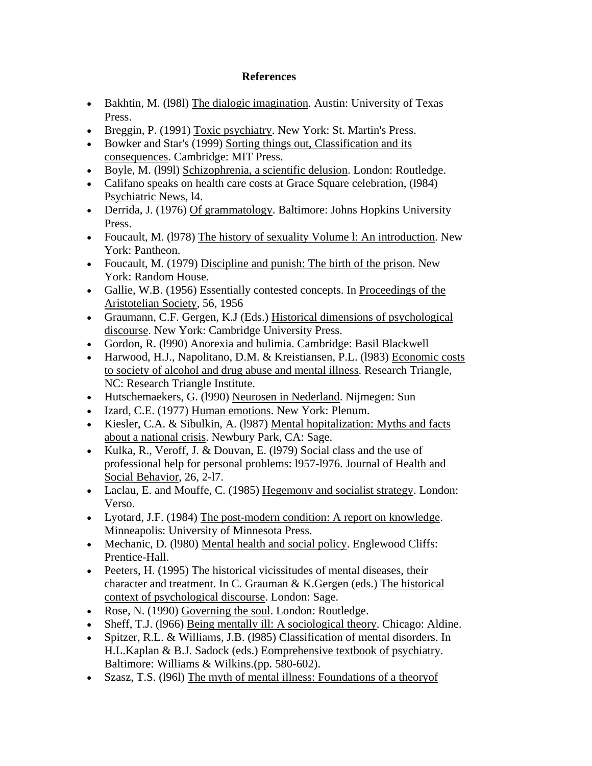#### **References**

- Bakhtin, M. (l98l) The dialogic imagination. Austin: University of Texas Press.
- Breggin, P. (1991) Toxic psychiatry. New York: St. Martin's Press.
- Bowker and Star's (1999) Sorting things out, Classification and its consequences. Cambridge: MIT Press.
- Boyle, M. (l99l) Schizophrenia, a scientific delusion. London: Routledge.
- Califano speaks on health care costs at Grace Square celebration, (1984) Psychiatric News, l4.
- Derrida, J. (1976) Of grammatology. Baltimore: Johns Hopkins University Press.
- Foucault, M. (1978) The history of sexuality Volume 1: An introduction. New York: Pantheon.
- Foucault, M. (1979) Discipline and punish: The birth of the prison. New York: Random House.
- Gallie, W.B. (1956) Essentially contested concepts. In Proceedings of the Aristotelian Society, 56, 1956
- Graumann, C.F. Gergen, K.J (Eds.) Historical dimensions of psychological discourse. New York: Cambridge University Press.
- Gordon, R. (l990) Anorexia and bulimia. Cambridge: Basil Blackwell
- Harwood, H.J., Napolitano, D.M. & Kreistiansen, P.L. (l983) Economic costs to society of alcohol and drug abuse and mental illness. Research Triangle, NC: Research Triangle Institute.
- Hutschemaekers, G. (1990) Neurosen in Nederland. Nijmegen: Sun
- Izard, C.E. (1977) Human emotions. New York: Plenum.
- Kiesler, C.A. & Sibulkin, A. (l987) Mental hopitalization: Myths and facts about a national crisis. Newbury Park, CA: Sage.
- Kulka, R., Veroff, J. & Douvan, E. (1979) Social class and the use of professional help for personal problems: l957-l976. Journal of Health and Social Behavior, 26, 2-l7.
- Laclau, E. and Mouffe, C. (1985) Hegemony and socialist strategy. London: Verso.
- Lyotard, J.F. (1984) The post-modern condition: A report on knowledge. Minneapolis: University of Minnesota Press.
- Mechanic, D. (1980) Mental health and social policy. Englewood Cliffs: Prentice-Hall.
- Peeters, H. (1995) The historical vicissitudes of mental diseases, their character and treatment. In C. Grauman & K.Gergen (eds.) The historical context of psychological discourse. London: Sage.
- Rose, N. (1990) Governing the soul. London: Routledge.
- Sheff, T.J. (l966) Being mentally ill: A sociological theory. Chicago: Aldine.
- Spitzer, R.L. & Williams, J.B. (l985) Classification of mental disorders. In H.L.Kaplan & B.J. Sadock (eds.) Eomprehensive textbook of psychiatry. Baltimore: Williams & Wilkins.(pp. 580-602).
- Szasz, T.S. (1961) The myth of mental illness: Foundations of a theory of